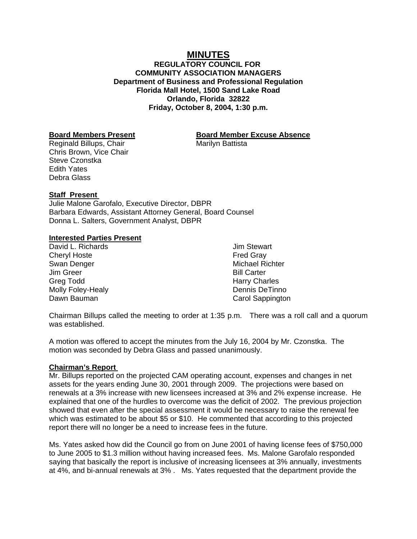# **MINUTES**

**REGULATORY COUNCIL FOR COMMUNITY ASSOCIATION MANAGERS Department of Business and Professional Regulation Florida Mall Hotel, 1500 Sand Lake Road Orlando, Florida 32822 Friday, October 8, 2004, 1:30 p.m.**

Reginald Billups, Chair Marilyn Battista Chris Brown, Vice Chair Steve Czonstka Edith Yates Debra Glass

## **Board Members Present Board Member Excuse Absence**

## **Staff Present**

Julie Malone Garofalo, Executive Director, DBPR Barbara Edwards, Assistant Attorney General, Board Counsel Donna L. Salters, Government Analyst, DBPR

### **Interested Parties Present**

David L. Richards Cheryl Hoste Swan Denger Jim Greer Greg Todd Molly Foley-Healy Dawn Bauman

Jim Stewart Fred Gray Michael Richter Bill Carter Harry Charles Dennis DeTinno Carol Sappington

Chairman Billups called the meeting to order at 1:35 p.m. There was a roll call and a quorum was established.

A motion was offered to accept the minutes from the July 16, 2004 by Mr. Czonstka. The motion was seconded by Debra Glass and passed unanimously.

#### **Chairman's Report**

Mr. Billups reported on the projected CAM operating account, expenses and changes in net assets for the years ending June 30, 2001 through 2009. The projections were based on renewals at a 3% increase with new licensees increased at 3% and 2% expense increase. He explained that one of the hurdles to overcome was the deficit of 2002. The previous projection showed that even after the special assessment it would be necessary to raise the renewal fee which was estimated to be about \$5 or \$10. He commented that according to this projected report there will no longer be a need to increase fees in the future.

Ms. Yates asked how did the Council go from on June 2001 of having license fees of \$750,000 to June 2005 to \$1.3 million without having increased fees. Ms. Malone Garofalo responded saying that basically the report is inclusive of increasing licensees at 3% annually, investments at 4%, and bi-annual renewals at 3% . Ms. Yates requested that the department provide the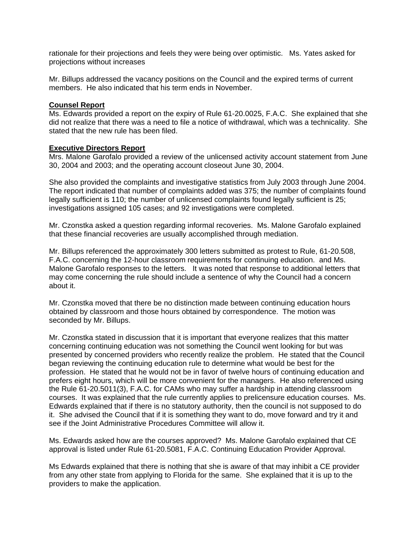rationale for their projections and feels they were being over optimistic. Ms. Yates asked for projections without increases

Mr. Billups addressed the vacancy positions on the Council and the expired terms of current members. He also indicated that his term ends in November.

## **Counsel Report**

Ms. Edwards provided a report on the expiry of Rule 61-20.0025, F.A.C. She explained that she did not realize that there was a need to file a notice of withdrawal, which was a technicality. She stated that the new rule has been filed.

## **Executive Directors Report**

Mrs. Malone Garofalo provided a review of the unlicensed activity account statement from June 30, 2004 and 2003; and the operating account closeout June 30, 2004.

She also provided the complaints and investigative statistics from July 2003 through June 2004. The report indicated that number of complaints added was 375; the number of complaints found legally sufficient is 110; the number of unlicensed complaints found legally sufficient is 25; investigations assigned 105 cases; and 92 investigations were completed.

Mr. Czonstka asked a question regarding informal recoveries. Ms. Malone Garofalo explained that these financial recoveries are usually accomplished through mediation.

Mr. Billups referenced the approximately 300 letters submitted as protest to Rule, 61-20.508, F.A.C. concerning the 12-hour classroom requirements for continuing education. and Ms. Malone Garofalo responses to the letters. It was noted that response to additional letters that may come concerning the rule should include a sentence of why the Council had a concern about it.

Mr. Czonstka moved that there be no distinction made between continuing education hours obtained by classroom and those hours obtained by correspondence. The motion was seconded by Mr. Billups.

Mr. Czonstka stated in discussion that it is important that everyone realizes that this matter concerning continuing education was not something the Council went looking for but was presented by concerned providers who recently realize the problem. He stated that the Council began reviewing the continuing education rule to determine what would be best for the profession. He stated that he would not be in favor of twelve hours of continuing education and prefers eight hours, which will be more convenient for the managers. He also referenced using the Rule 61-20.5011(3), F.A.C. for CAMs who may suffer a hardship in attending classroom courses. It was explained that the rule currently applies to prelicensure education courses. Ms. Edwards explained that if there is no statutory authority, then the council is not supposed to do it. She advised the Council that if it is something they want to do, move forward and try it and see if the Joint Administrative Procedures Committee will allow it.

Ms. Edwards asked how are the courses approved? Ms. Malone Garofalo explained that CE approval is listed under Rule 61-20.5081, F.A.C. Continuing Education Provider Approval.

Ms Edwards explained that there is nothing that she is aware of that may inhibit a CE provider from any other state from applying to Florida for the same. She explained that it is up to the providers to make the application.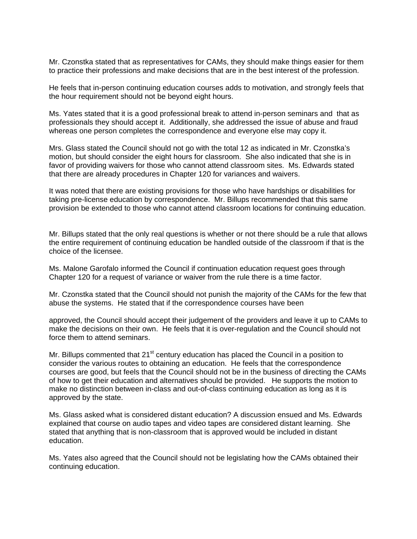Mr. Czonstka stated that as representatives for CAMs, they should make things easier for them to practice their professions and make decisions that are in the best interest of the profession.

He feels that in-person continuing education courses adds to motivation, and strongly feels that the hour requirement should not be beyond eight hours.

Ms. Yates stated that it is a good professional break to attend in-person seminars and that as professionals they should accept it. Additionally, she addressed the issue of abuse and fraud whereas one person completes the correspondence and everyone else may copy it.

Mrs. Glass stated the Council should not go with the total 12 as indicated in Mr. Czonstka's motion, but should consider the eight hours for classroom. She also indicated that she is in favor of providing waivers for those who cannot attend classroom sites. Ms. Edwards stated that there are already procedures in Chapter 120 for variances and waivers.

It was noted that there are existing provisions for those who have hardships or disabilities for taking pre-license education by correspondence. Mr. Billups recommended that this same provision be extended to those who cannot attend classroom locations for continuing education.

Mr. Billups stated that the only real questions is whether or not there should be a rule that allows the entire requirement of continuing education be handled outside of the classroom if that is the choice of the licensee.

Ms. Malone Garofalo informed the Council if continuation education request goes through Chapter 120 for a request of variance or waiver from the rule there is a time factor.

Mr. Czonstka stated that the Council should not punish the majority of the CAMs for the few that abuse the systems. He stated that if the correspondence courses have been

approved, the Council should accept their judgement of the providers and leave it up to CAMs to make the decisions on their own. He feels that it is over-regulation and the Council should not force them to attend seminars.

Mr. Billups commented that  $21<sup>st</sup>$  century education has placed the Council in a position to consider the various routes to obtaining an education. He feels that the correspondence courses are good, but feels that the Council should not be in the business of directing the CAMs of how to get their education and alternatives should be provided. He supports the motion to make no distinction between in-class and out-of-class continuing education as long as it is approved by the state.

Ms. Glass asked what is considered distant education? A discussion ensued and Ms. Edwards explained that course on audio tapes and video tapes are considered distant learning. She stated that anything that is non-classroom that is approved would be included in distant education.

Ms. Yates also agreed that the Council should not be legislating how the CAMs obtained their continuing education.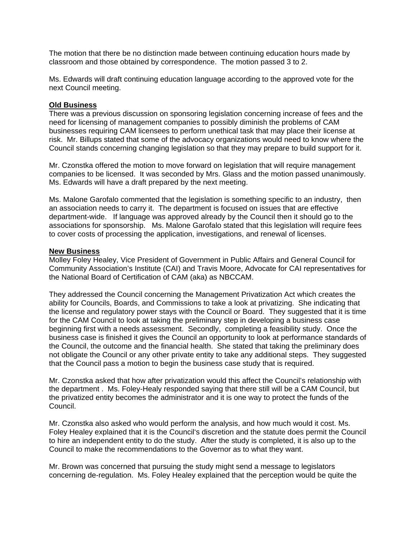The motion that there be no distinction made between continuing education hours made by classroom and those obtained by correspondence. The motion passed 3 to 2.

Ms. Edwards will draft continuing education language according to the approved vote for the next Council meeting.

## **Old Business**

There was a previous discussion on sponsoring legislation concerning increase of fees and the need for licensing of management companies to possibly diminish the problems of CAM businesses requiring CAM licensees to perform unethical task that may place their license at risk. Mr. Billups stated that some of the advocacy organizations would need to know where the Council stands concerning changing legislation so that they may prepare to build support for it.

Mr. Czonstka offered the motion to move forward on legislation that will require management companies to be licensed. It was seconded by Mrs. Glass and the motion passed unanimously. Ms. Edwards will have a draft prepared by the next meeting.

Ms. Malone Garofalo commented that the legislation is something specific to an industry, then an association needs to carry it. The department is focused on issues that are effective department-wide. If language was approved already by the Council then it should go to the associations for sponsorship. Ms. Malone Garofalo stated that this legislation will require fees to cover costs of processing the application, investigations, and renewal of licenses.

### **New Business**

Molley Foley Healey, Vice President of Government in Public Affairs and General Council for Community Association's Institute (CAI) and Travis Moore, Advocate for CAI representatives for the National Board of Certification of CAM (aka) as NBCCAM.

They addressed the Council concerning the Management Privatization Act which creates the ability for Councils, Boards, and Commissions to take a look at privatizing. She indicating that the license and regulatory power stays with the Council or Board. They suggested that it is time for the CAM Council to look at taking the preliminary step in developing a business case beginning first with a needs assessment. Secondly, completing a feasibility study. Once the business case is finished it gives the Council an opportunity to look at performance standards of the Council, the outcome and the financial health. She stated that taking the preliminary does not obligate the Council or any other private entity to take any additional steps. They suggested that the Council pass a motion to begin the business case study that is required.

Mr. Czonstka asked that how after privatization would this affect the Council's relationship with the department . Ms. Foley-Healy responded saying that there still will be a CAM Council, but the privatized entity becomes the administrator and it is one way to protect the funds of the Council.

Mr. Czonstka also asked who would perform the analysis, and how much would it cost. Ms. Foley Healey explained that it is the Council's discretion and the statute does permit the Council to hire an independent entity to do the study. After the study is completed, it is also up to the Council to make the recommendations to the Governor as to what they want.

Mr. Brown was concerned that pursuing the study might send a message to legislators concerning de-regulation. Ms. Foley Healey explained that the perception would be quite the